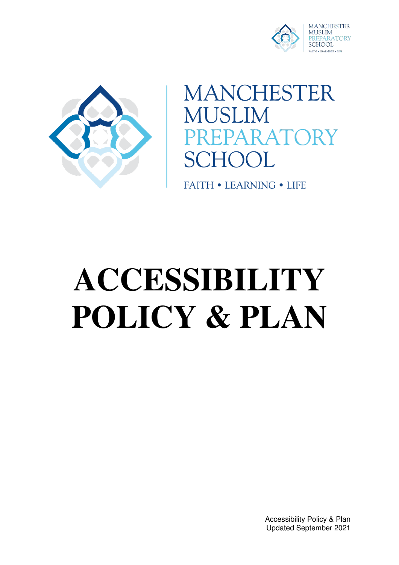



**MANCHESTER MUSLIM** ARATORY  $\mathcal{H}$ 

**FAITH • LEARNING • LIFE** 

# **ACCESSIBILITY POLICY & PLAN**

Accessibility Policy & Plan Updated September 2021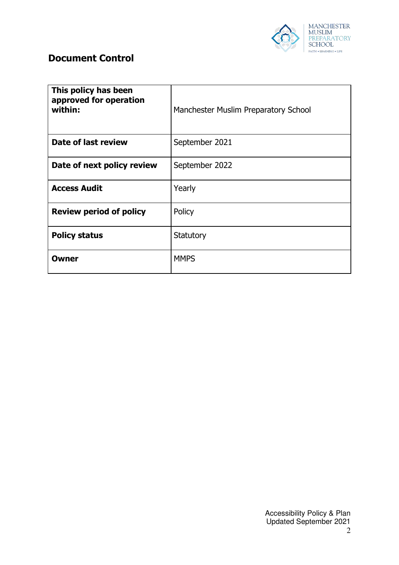

## **Document Control**

| This policy has been<br>approved for operation<br>within: | Manchester Muslim Preparatory School |
|-----------------------------------------------------------|--------------------------------------|
| Date of last review                                       | September 2021                       |
| Date of next policy review                                | September 2022                       |
| <b>Access Audit</b>                                       | Yearly                               |
| <b>Review period of policy</b>                            | Policy                               |
| <b>Policy status</b>                                      | Statutory                            |
| <b>Owner</b>                                              | <b>MMPS</b>                          |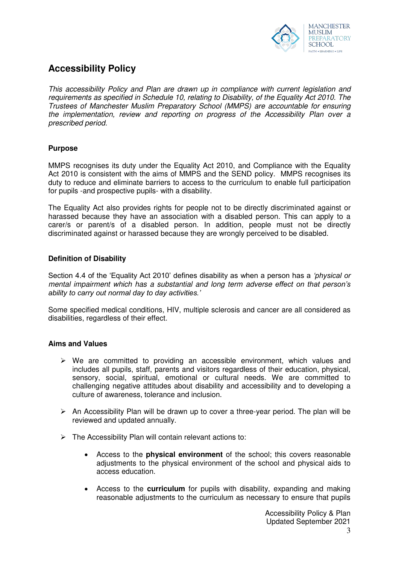

## **Accessibility Policy**

*This accessibility Policy and Plan are drawn up in compliance with current legislation and requirements as specified in Schedule 10, relating to Disability, of the Equality Act 2010. The Trustees of Manchester Muslim Preparatory School (MMPS) are accountable for ensuring the implementation, review and reporting on progress of the Accessibility Plan over a prescribed period.* 

### **Purpose**

MMPS recognises its duty under the Equality Act 2010, and Compliance with the Equality Act 2010 is consistent with the aims of MMPS and the SEND policy. MMPS recognises its duty to reduce and eliminate barriers to access to the curriculum to enable full participation for pupils -and prospective pupils- with a disability.

The Equality Act also provides rights for people not to be directly discriminated against or harassed because they have an association with a disabled person. This can apply to a carer/s or parent/s of a disabled person. In addition, people must not be directly discriminated against or harassed because they are wrongly perceived to be disabled.

### **Definition of Disability**

Section 4.4 of the 'Equality Act 2010' defines disability as when a person has a *'physical or mental impairment which has a substantial and long term adverse effect on that person's ability to carry out normal day to day activities.'*

Some specified medical conditions, HIV, multiple sclerosis and cancer are all considered as disabilities, regardless of their effect.

#### **Aims and Values**

- $\triangleright$  We are committed to providing an accessible environment, which values and includes all pupils, staff, parents and visitors regardless of their education, physical, sensory, social, spiritual, emotional or cultural needs. We are committed to challenging negative attitudes about disability and accessibility and to developing a culture of awareness, tolerance and inclusion.
- $\triangleright$  An Accessibility Plan will be drawn up to cover a three-year period. The plan will be reviewed and updated annually.
- $\triangleright$  The Accessibility Plan will contain relevant actions to:
	- Access to the **physical environment** of the school; this covers reasonable adjustments to the physical environment of the school and physical aids to access education.
	- Access to the **curriculum** for pupils with disability, expanding and making reasonable adjustments to the curriculum as necessary to ensure that pupils

Accessibility Policy & Plan Updated September 2021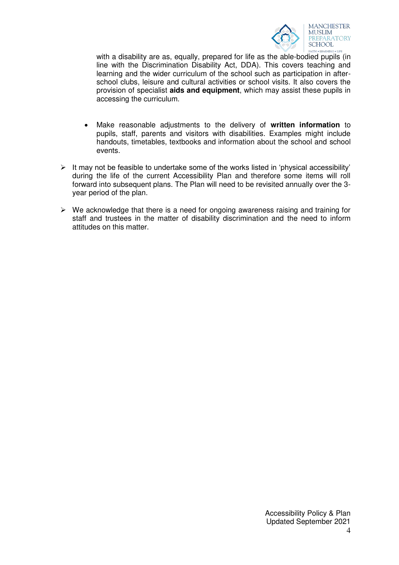

with a disability are as, equally, prepared for life as the able-bodied pupils (in line with the Discrimination Disability Act, DDA). This covers teaching and learning and the wider curriculum of the school such as participation in afterschool clubs, leisure and cultural activities or school visits. It also covers the provision of specialist **aids and equipment**, which may assist these pupils in accessing the curriculum.

- Make reasonable adjustments to the delivery of **written information** to pupils, staff, parents and visitors with disabilities. Examples might include handouts, timetables, textbooks and information about the school and school events.
- $\triangleright$  It may not be feasible to undertake some of the works listed in 'physical accessibility' during the life of the current Accessibility Plan and therefore some items will roll forward into subsequent plans. The Plan will need to be revisited annually over the 3 year period of the plan.
- $\triangleright$  We acknowledge that there is a need for ongoing awareness raising and training for staff and trustees in the matter of disability discrimination and the need to inform attitudes on this matter.